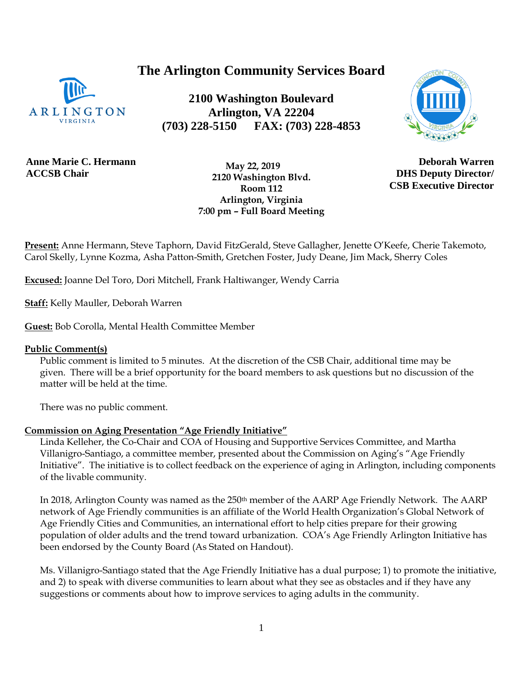# **The Arlington Community Services Board**



**2100 Washington Boulevard Arlington, VA 22204 (703) 228-5150 FAX: (703) 228-4853**



**Anne Marie C. Hermann ACCSB Chair**

 **May 22, 2019 2120 Washington Blvd. Room 112 Arlington, Virginia 7:00 pm – Full Board Meeting**

**Deborah Warren DHS Deputy Director/ CSB Executive Director**

**Present:** Anne Hermann, Steve Taphorn, David FitzGerald, Steve Gallagher, Jenette O'Keefe, Cherie Takemoto, Carol Skelly, Lynne Kozma, Asha Patton-Smith, Gretchen Foster, Judy Deane, Jim Mack, Sherry Coles

**Excused:** Joanne Del Toro, Dori Mitchell, Frank Haltiwanger, Wendy Carria

**Staff:** Kelly Mauller, Deborah Warren

**Guest:** Bob Corolla, Mental Health Committee Member

#### **Public Comment(s)**

Public comment is limited to 5 minutes. At the discretion of the CSB Chair, additional time may be given. There will be a brief opportunity for the board members to ask questions [but](http://but.no/) no discussion of the matter will be held at the time.

There was no public comment.

#### **Commission on Aging Presentation "Age Friendly Initiative"**

Linda Kelleher, the Co-Chair and COA of Housing and Supportive Services Committee, and Martha Villanigro-Santiago, a committee member, presented about the Commission on Aging's "Age Friendly Initiative". The initiative is to collect feedback on the experience of aging in Arlington, including components of the livable community.

In 2018, Arlington County was named as the 250<sup>th</sup> member of the AARP Age Friendly Network. The AARP network of Age Friendly communities is an affiliate of the World Health Organization's Global Network of Age Friendly Cities and Communities, an international effort to help cities prepare for their growing population of older adults and the trend toward urbanization. COA's Age Friendly Arlington Initiative has been endorsed by the County Board (As Stated on Handout).

Ms. Villanigro-Santiago stated that the Age Friendly Initiative has a dual purpose; 1) to promote the initiative, and 2) to speak with diverse communities to learn about what they see as obstacles and if they have any suggestions or comments about how to improve services to aging adults in the community.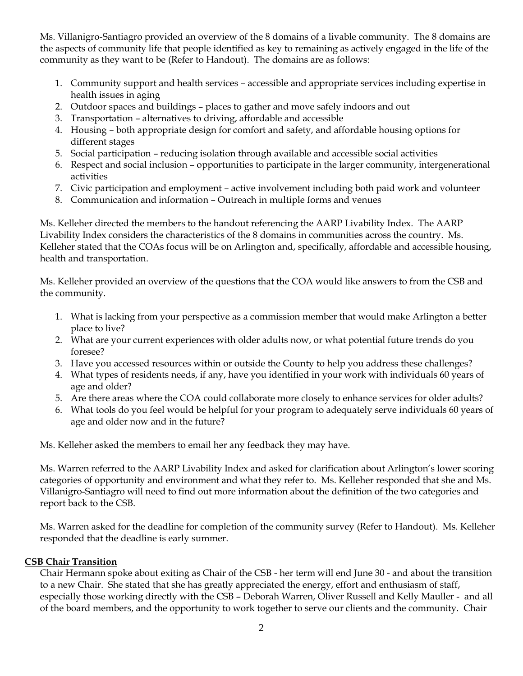Ms. Villanigro-Santiagro provided an overview of the 8 domains of a livable community. The 8 domains are the aspects of community life that people identified as key to remaining as actively engaged in the life of the community as they want to be (Refer to Handout). The domains are as follows:

- 1. Community support and health services accessible and appropriate services including expertise in health issues in aging
- 2. Outdoor spaces and buildings places to gather and move safely indoors and out
- 3. Transportation alternatives to driving, affordable and accessible
- 4. Housing both appropriate design for comfort and safety, and affordable housing options for different stages
- 5. Social participation reducing isolation through available and accessible social activities
- 6. Respect and social inclusion opportunities to participate in the larger community, intergenerational activities
- 7. Civic participation and employment active involvement including both paid work and volunteer
- 8. Communication and information Outreach in multiple forms and venues

Ms. Kelleher directed the members to the handout referencing the AARP Livability Index. The AARP Livability Index considers the characteristics of the 8 domains in communities across the country. Ms. Kelleher stated that the COAs focus will be on Arlington and, specifically, affordable and accessible housing, health and transportation.

Ms. Kelleher provided an overview of the questions that the COA would like answers to from the CSB and the community.

- 1. What is lacking from your perspective as a commission member that would make Arlington a better place to live?
- 2. What are your current experiences with older adults now, or what potential future trends do you foresee?
- 3. Have you accessed resources within or outside the County to help you address these challenges?
- 4. What types of residents needs, if any, have you identified in your work with individuals 60 years of age and older?
- 5. Are there areas where the COA could collaborate more closely to enhance services for older adults?
- 6. What tools do you feel would be helpful for your program to adequately serve individuals 60 years of age and older now and in the future?

Ms. Kelleher asked the members to email her any feedback they may have.

Ms. Warren referred to the AARP Livability Index and asked for clarification about Arlington's lower scoring categories of opportunity and environment and what they refer to. Ms. Kelleher responded that she and Ms. Villanigro-Santiagro will need to find out more information about the definition of the two categories and report back to the CSB.

Ms. Warren asked for the deadline for completion of the community survey (Refer to Handout). Ms. Kelleher responded that the deadline is early summer.

### **CSB Chair Transition**

Chair Hermann spoke about exiting as Chair of the CSB - her term will end June 30 - and about the transition to a new Chair. She stated that she has greatly appreciated the energy, effort and enthusiasm of staff, especially those working directly with the CSB – Deborah Warren, Oliver Russell and Kelly Mauller - and all of the board members, and the opportunity to work together to serve our clients and the community. Chair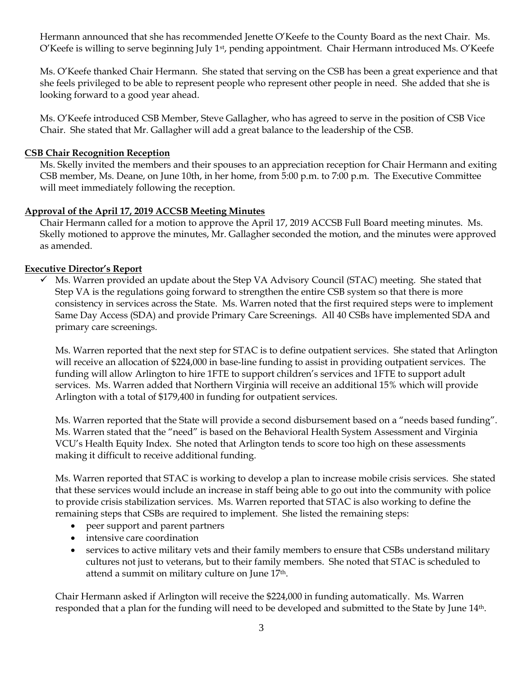Hermann announced that she has recommended Jenette O'Keefe to the County Board as the next Chair. Ms. O'Keefe is willing to serve beginning July 1st, pending appointment. Chair Hermann introduced Ms. O'Keefe

Ms. O'Keefe thanked Chair Hermann. She stated that serving on the CSB has been a great experience and that she feels privileged to be able to represent people who represent other people in need. She added that she is looking forward to a good year ahead.

Ms. O'Keefe introduced CSB Member, Steve Gallagher, who has agreed to serve in the position of CSB Vice Chair. She stated that Mr. Gallagher will add a great balance to the leadership of the CSB.

### **CSB Chair Recognition Reception**

Ms. Skelly invited the members and their spouses to an appreciation reception for Chair Hermann and exiting CSB member, Ms. Deane, on June 10th, in her home, from 5:00 p.m. to 7:00 p.m. The Executive Committee will meet immediately following the reception.

# **Approval of the April 17, 2019 ACCSB Meeting Minutes**

Chair Hermann called for a motion to approve the April 17, 2019 ACCSB Full Board meeting minutes. Ms. Skelly motioned to approve the minutes, Mr. Gallagher seconded the motion, and the minutes were approved as amended.

# **Executive Director's Report**

 $\checkmark$  Ms. Warren provided an update about the Step VA Advisory Council (STAC) meeting. She stated that Step VA is the regulations going forward to strengthen the entire CSB system so that there is more consistency in services across the State. Ms. Warren noted that the first required steps were to implement Same Day Access (SDA) and provide Primary Care Screenings. All 40 CSBs have implemented SDA and primary care screenings.

Ms. Warren reported that the next step for STAC is to define outpatient services. She stated that Arlington will receive an allocation of \$224,000 in base-line funding to assist in providing outpatient services. The funding will allow Arlington to hire 1FTE to support children's services and 1FTE to support adult services. Ms. Warren added that Northern Virginia will receive an additional 15% which will provide Arlington with a total of \$179,400 in funding for outpatient services.

Ms. Warren reported that the State will provide a second disbursement based on a "needs based funding". Ms. Warren stated that the "need" is based on the Behavioral Health System Assessment and Virginia VCU's Health Equity Index. She noted that Arlington tends to score too high on these assessments making it difficult to receive additional funding.

Ms. Warren reported that STAC is working to develop a plan to increase mobile crisis services. She stated that these services would include an increase in staff being able to go out into the community with police to provide crisis stabilization services. Ms. Warren reported that STAC is also working to define the remaining steps that CSBs are required to implement. She listed the remaining steps:

- peer support and parent partners
- intensive care coordination
- services to active military vets and their family members to ensure that CSBs understand military cultures not just to veterans, but to their family members. She noted that STAC is scheduled to attend a summit on military culture on June 17th.

Chair Hermann asked if Arlington will receive the \$224,000 in funding automatically. Ms. Warren responded that a plan for the funding will need to be developed and submitted to the State by June 14th.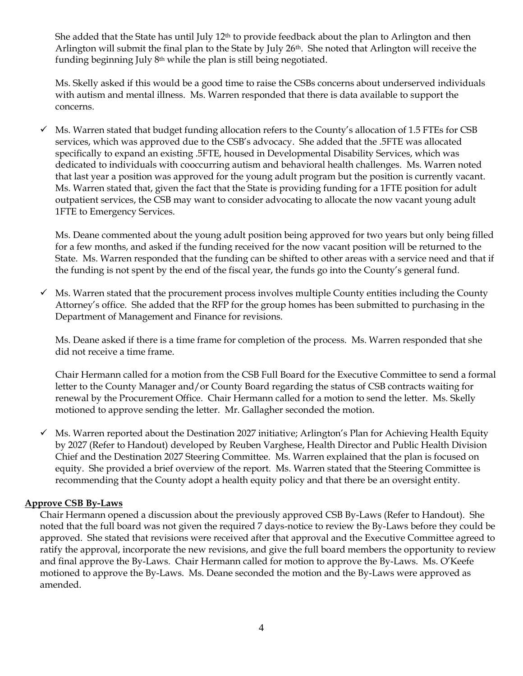She added that the State has until July  $12<sup>th</sup>$  to provide feedback about the plan to Arlington and then Arlington will submit the final plan to the State by July 26th. She noted that Arlington will receive the funding beginning July 8<sup>th</sup> while the plan is still being negotiated.

Ms. Skelly asked if this would be a good time to raise the CSBs concerns about underserved individuals with autism and mental illness. Ms. Warren responded that there is data available to support the concerns.

 $\checkmark$  Ms. Warren stated that budget funding allocation refers to the County's allocation of 1.5 FTEs for CSB services, which was approved due to the CSB's advocacy. She added that the .5FTE was allocated specifically to expand an existing .5FTE, housed in Developmental Disability Services, which was dedicated to individuals with cooccurring autism and behavioral health challenges. Ms. Warren noted that last year a position was approved for the young adult program but the position is currently vacant. Ms. Warren stated that, given the fact that the State is providing funding for a 1FTE position for adult outpatient services, the CSB may want to consider advocating to allocate the now vacant young adult 1FTE to Emergency Services.

Ms. Deane commented about the young adult position being approved for two years but only being filled for a few months, and asked if the funding received for the now vacant position will be returned to the State. Ms. Warren responded that the funding can be shifted to other areas with a service need and that if the funding is not spent by the end of the fiscal year, the funds go into the County's general fund.

 $\checkmark$  Ms. Warren stated that the procurement process involves multiple County entities including the County Attorney's office. She added that the RFP for the group homes has been submitted to purchasing in the Department of Management and Finance for revisions.

Ms. Deane asked if there is a time frame for completion of the process. Ms. Warren responded that she did not receive a time frame.

Chair Hermann called for a motion from the CSB Full Board for the Executive Committee to send a formal letter to the County Manager and/or County Board regarding the status of CSB contracts waiting for renewal by the Procurement Office. Chair Hermann called for a motion to send the letter. Ms. Skelly motioned to approve sending the letter. Mr. Gallagher seconded the motion.

 $\checkmark$  Ms. Warren reported about the Destination 2027 initiative; Arlington's Plan for Achieving Health Equity by 2027 (Refer to Handout) developed by Reuben Varghese, Health Director and Public Health Division Chief and the Destination 2027 Steering Committee. Ms. Warren explained that the plan is focused on equity. She provided a brief overview of the report. Ms. Warren stated that the Steering Committee is recommending that the County adopt a health equity policy and that there be an oversight entity.

#### **Approve CSB By-Laws**

Chair Hermann opened a discussion about the previously approved CSB By-Laws (Refer to Handout). She noted that the full board was not given the required 7 days-notice to review the By-Laws before they could be approved. She stated that revisions were received after that approval and the Executive Committee agreed to ratify the approval, incorporate the new revisions, and give the full board members the opportunity to review and final approve the By-Laws. Chair Hermann called for motion to approve the By-Laws. Ms. O'Keefe motioned to approve the By-Laws. Ms. Deane seconded the motion and the By-Laws were approved as amended.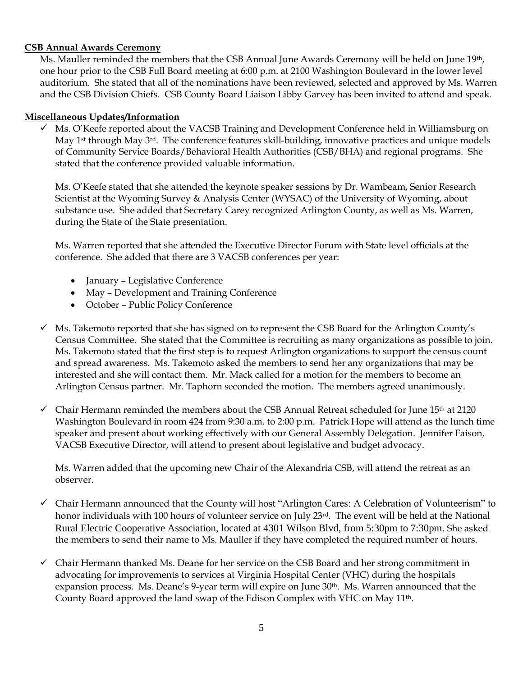#### **CSB Annual Awards Ceremony**

Ms. Mauller reminded the members that the CSB Annual June Awards Ceremony will be held on June 19<sup>th</sup>, one hour prior to the CSB Full Board meeting at 6:00 p.m. at 2100 Washington Boulevard in the lower level auditorium. She stated that all of the nominations have been reviewed, selected and approved by Ms. Warren and the CSB Division Chiefs. CSB County Board Liaison Libby Garvey has been invited to attend and speak.

#### **Miscellaneous Updates/Information**

Ms. O'Keefe reported about the VACSB Training and Development Conference held in Williamsburg on May 1<sup>st</sup> through May 3<sup>rd</sup>. The conference features skill-building, innovative practices and unique models of Community Service Boards/Behavioral Health Authorities (CSB/BHA) and regional programs. She stated that the conference provided valuable information.

Ms. O'Keefe stated that she attended the keynote speaker sessions by Dr. Wambeam, Senior Research Scientist at the Wyoming Survey & Analysis Center (WYSAC) of the University of Wyoming, about substance use. She added that Secretary Carey recognized Arlington County, as well as Ms. Warren, during the State of the State presentation.

Ms. Warren reported that she attended the Executive Director Forum with State level officials at the conference. She added that there are 3 VACSB conferences per year:

- January Legislative Conference
- May Development and Training Conference
- October Public Policy Conference
- $\checkmark$  Ms. Takemoto reported that she has signed on to represent the CSB Board for the Arlington County's Census Committee. She stated that the Committee is recruiting as many organizations as possible to join. Ms. Takemoto stated that the first step is to request Arlington organizations to support the census count and spread awareness. Ms. Takemoto asked the members to send her any organizations that may be interested and she will contact them. Mr. Mack called for a motion for the members to become an Arlington Census partner. Mr. Taphorn seconded the motion. The members agreed unanimously.
- $\checkmark$  Chair Hermann reminded the members about the CSB Annual Retreat scheduled for June 15<sup>th</sup> at 2120 Washington Boulevard in room 424 from 9:30 a.m. to 2:00 p.m. Patrick Hope will attend as the lunch time speaker and present about working effectively with our General Assembly Delegation. Jennifer Faison, VACSB Executive Director, will attend to present about legislative and budget advocacy.

Ms. Warren added that the upcoming new Chair of the Alexandria CSB, will attend the retreat as an observer.

- ✓ Chair Hermann announced that the County will host "Arlington Cares: A Celebration of Volunteerism" to honor individuals with 100 hours of volunteer service on July 23rd. The event will be held at the National Rural Electric Cooperative Association, located at 4301 Wilson Blvd, from 5:30pm to 7:30pm. She asked the members to send their name to Ms. Mauller if they have completed the required number of hours.
- $\checkmark$  Chair Hermann thanked Ms. Deane for her service on the CSB Board and her strong commitment in advocating for improvements to services at Virginia Hospital Center (VHC) during the hospitals expansion process. Ms. Deane's 9-year term will expire on June 30<sup>th</sup>. Ms. Warren announced that the County Board approved the land swap of the Edison Complex with VHC on May 11th.